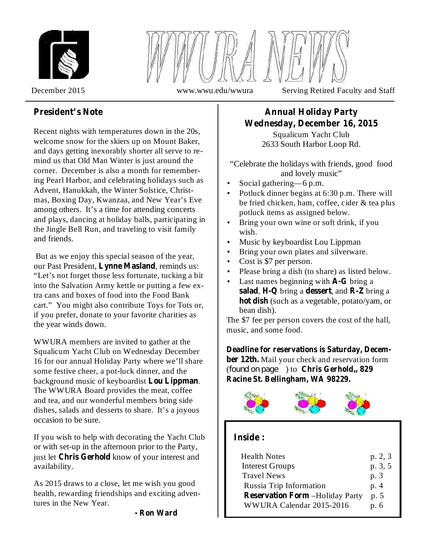



December 2015 www.wwu.edu/wwura Serving Retired Faculty and Staff

# **President's Note**

Recent nights with temperatures down in the 20s, welcome snow for the skiers up on Mount Baker, and days getting inexorably shorter all serve to remind us that Old Man Winter is just around the corner. December is also a month for remembering Pearl Harbor, and celebrating holidays such as Advent, Hanukkah, the Winter Solstice, Christmas, Boxing Day, Kwanzaa, and New Year's Eve among others. It's a time for attending concerts and plays, dancing at holiday balls, participating in the Jingle Bell Run, and traveling to visit family and friends.

But as we enjoy this special season of the year, our Past President, Lynne Masland, reminds us: "Let's not forget those less fortunate, tucking a bit into the Salvation Army kettle or putting a few extra cans and boxes of food into the Food Bank cart." You might also contribute Toys for Tots or, if you prefer, donate to your favorite charities as the year winds down.

WWURA members are invited to gather at the Squalicum Yacht Club on Wednesday December 16 for our annual Holiday Party where we'll share some festive cheer, a pot-luck dinner, and the background music of keyboardist **Lou Lippman**. The WWURA Board provides the meat, coffee and tea, and our wonderful members bring side dishes, salads and desserts to share. It's a joyous occasion to be sure.

If you wish to help with decorating the Yacht Club or with set-up in the afternoon prior to the Party, just let Chris Gerhold know of your interest and availability.

As 2015 draws to a close, let me wish you good health, rewarding friendships and exciting adventures in the New Year.

# **Annual Holiday Party Wednesday, December 16, 2015**

Squalicum Yacht Club 2633 South Harbor Loop Rd.

"Celebrate the holidays with friends, good food and lovely music"

- Social gathering—6 p.m. •
- Potluck dinner begins at 6:30 p.m. There will be fried chicken, ham, coffee, cider & tea plus potluck items as assigned below. •
- Bring your own wine or soft drink, if you wish. •
- Music by keyboardist Lou Lippman •
- Bring your own plates and silverware. •
- Cost is \$7 per person. •
- Please bring a dish (to share) as listed below. •
- Last names beginning with **A-G** bring a salad, H-Q bring a dessert, and R-Z bring a **hot dish** (such as a vegetable, potato/yam, or bean dish). •

The \$7 fee per person covers the cost of the hall, music, and some food.

ber 12th. Mail your check and reservation form (*found on page* ) to **Chris Gerhold**, 829 **Deadline for reservations is Saturday, Decem-Racine St. Bellingham, WA 98229.**



# **Inside :**

| <b>Health Notes</b>                    | p. 2, 3 |
|----------------------------------------|---------|
| <b>Interest Groups</b>                 | p. 3, 5 |
| <b>Travel News</b>                     | p. 3    |
| Russia Trip Information                | p. 4    |
| <b>Reservation Form -Holiday Party</b> | p. 5    |
| WWURA Calendar 2015-2016               | p. 6    |
|                                        |         |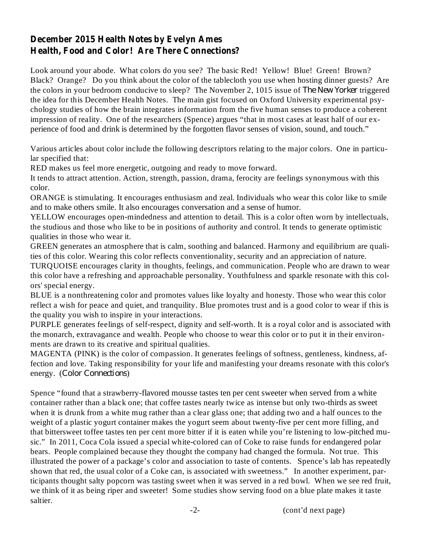# **December 2015 Health Notes by Evelyn Ames Health, Food and Color! Are There Connections?**

Look around your abode. What colors do you see? The basic Red! Yellow! Blue! Green! Brown? Black? Orange? Do you think about the color of the tablecloth you use when hosting dinner guests? Are the colors in your bedroom conducive to sleep? The November 2, 1015 issue of The New Yorker triggered the idea for this December Health Notes. The main gist focused on Oxford University experimental psychology studies of how the brain integrates information from the five human senses to produce a coherent impression of reality. One of the researchers (Spence) argues "that in most cases at least half of our experience of food and drink is determined by the forgotten flavor senses of vision, sound, and touch."

Various articles about color include the following descriptors relating to the major colors. One in particular specified that:

RED makes us feel more energetic, outgoing and ready to move forward.

It tends to attract attention. Action, strength, passion, drama, ferocity are feelings synonymous with this color.

ORANGE is stimulating. It encourages enthusiasm and zeal. Individuals who wear this color like to smile and to make others smile. It also encourages conversation and a sense of humor.

YELLOW encourages open-mindedness and attention to detail. This is a color often worn by intellectuals, the studious and those who like to be in positions of authority and control. It tends to generate optimistic qualities in those who wear it.

GREEN generates an atmosphere that is calm, soothing and balanced. Harmony and equilibrium are qualities of this color. Wearing this color reflects conventionality, security and an appreciation of nature.

TURQUOISE encourages clarity in thoughts, feelings, and communication. People who are drawn to wear this color have a refreshing and approachable personality. Youthfulness and sparkle resonate with this colors' special energy.

BLUE is a nonthreatening color and promotes values like loyalty and honesty. Those who wear this color reflect a wish for peace and quiet, and tranquility. Blue promotes trust and is a good color to wear if this is the quality you wish to inspire in your interactions.

PURPLE generates feelings of self-respect, dignity and self-worth. It is a royal color and is associated with the monarch, extravagance and wealth. People who choose to wear this color or to put it in their environments are drawn to its creative and spiritual qualities.

MAGENTA (PINK) is the color of compassion. It generates feelings of softness, gentleness, kindness, affection and love. Taking responsibility for your life and manifesting your dreams resonate with this color's energy. (Color Connections)

Spence "found that a strawberry-flavored mousse tastes ten per cent sweeter when served from a white container rather than a black one; that coffee tastes nearly twice as intense but only two-thirds as sweet when it is drunk from a white mug rather than a clear glass one; that adding two and a half ounces to the weight of a plastic yogurt container makes the yogurt seem about twenty-five per cent more filling, and that bittersweet toffee tastes ten per cent more bitter if it is eaten while you're listening to low-pitched music." In 2011, Coca Cola issued a special white-colored can of Coke to raise funds for endangered polar bears. People complained because they thought the company had changed the formula. Not true. This illustrated the power of a package's color and association to taste of contents. Spence's lab has repeatedly shown that red, the usual color of a Coke can, is associated with sweetness." In another experiment, participants thought salty popcorn was tasting sweet when it was served in a red bowl. When we see red fruit, we think of it as being riper and sweeter! Some studies show serving food on a blue plate makes it taste saltier.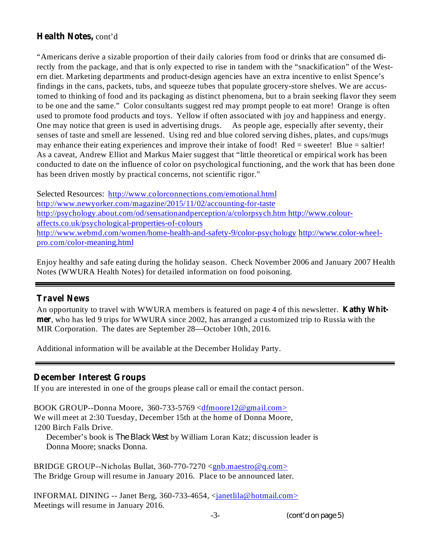# **Health Notes,** cont'd

"Americans derive a sizable proportion of their daily calories from food or drinks that are consumed directly from the package, and that is only expected to rise in tandem with the "snackification" of the Western diet. Marketing departments and product-design agencies have an extra incentive to enlist Spence's findings in the cans, packets, tubs, and squeeze tubes that populate grocery-store shelves. We are accustomed to thinking of food and its packaging as distinct phenomena, but to a brain seeking flavor they seem to be one and the same." Color consultants suggest red may prompt people to eat more! Orange is often used to promote food products and toys. Yellow if often associated with joy and happiness and energy. One may notice that green is used in advertising drugs. As people age, especially after seventy, their senses of taste and smell are lessened. Using red and blue colored serving dishes, plates, and cups/mugs may enhance their eating experiences and improve their intake of food! Red = sweeter! Blue = saltier! As a caveat, Andrew Elliot and Markus Maier suggest that "little theoretical or empirical work has been conducted to date on the influence of color on psychological functioning, and the work that has been done has been driven mostly by practical concerns, not scientific rigor."

Selected Resources: http://www.colorconnections.com/emotional.html http://www.newyorker.com/magazine/2015/11/02/accounting-for-taste http://psychology.about.com/od/sensationandperception/a/colorpsych.htm http://www.colouraffects.co.uk/psychological-properties-of-colours http://www.webmd.com/women/home-health-and-safety-9/color-psychology http://www.color-wheelpro.com/color-meaning.html

Enjoy healthy and safe eating during the holiday season. Check November 2006 and January 2007 Health Notes (WWURA Health Notes) for detailed information on food poisoning.

#### **Travel News**

An opportunity to travel with WWURA members is featured on page 4 of this newsletter. **Kathy Whitmer** , who has led 9 trips for WWURA since 2002, has arranged a customized trip to Russia with the MIR Corporation. The dates are September 28—October 10th, 2016.

Additional information will be available at the December Holiday Party.

#### **December Interest Groups**

If you are interested in one of the groups please call or email the contact person.

BOOK GROUP--Donna Moore, 360-733-5769 <dfmoore12@gmail.com> We will meet at 2:30 Tuesday, December 15th at the home of Donna Moore, 1200 Birch Falls Drive. December's book is *The Black West* by William Loran Katz; discussion leader is

Donna Moore; snacks Donna.

BRIDGE GROUP--Nicholas Bullat,  $360-770-7270 \leq gnb \text{.}$  maestro @q.com> The Bridge Group will resume in January 2016. Place to be announced later.

INFORMAL DINING -- Janet Berg, 360-733-4654, <janetlila@hotmail.com> Meetings will resume in January 2016.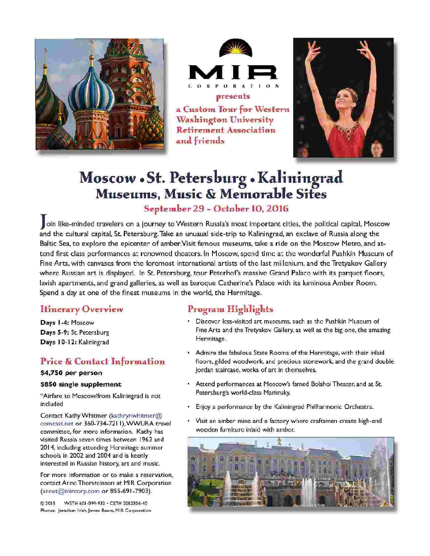



a Custom Tour for Western **Washington University Retirement Association** and friends



# Moscow . St. Petersburg . Kaliningrad Museums, Music & Memorable Sites

# September 29 - October 10, 2016

oin like-minded travelers on a journey to Western Russia's most important cities, the political capital, Moscow and the cultural capital, St. Petersburg. Take an unusual side-trip to Kaliningrad, an exclave of Russia along the Baltic Sea, to explore the epicenter of amber. Visit famous museums, take a ride on the Moscow Metro, and attend first class performances at renowned theaters. In Moscow, spend time at the wonderful Pushkin Museum of Fine Arts, with canvases from the foremost international artists of the last millenium, and the Tretyakov Gallery where Russian art is displayed. In St. Petersburg, tour Peterhof's massive Grand Palace with its parquet floors, lavish apartments, and grand galleries, as well as baroque Catherine's Palace with its luminous Amber Room. Spend a day at one of the finest museums in the world, the Hermitage.

## **Itinerary Overview**

Days 1-4: Moscow Days 5-9: St. Petersburg Days 10-12: Kaliningrad

# **Price & Contact Information**

#### \$4,750 per person

#### \$850 single supplement

"Airfare to Moscow/from Kaliningrad is not included

Contact Kathy Whitmer (kathrynwhitmer@ comcast.net or 360-734-7211), WWURA travel committee, for more information. Kathy has visited Russia seven times between 1963 and 2014, including attending Hermitage summer schools in 2002 and 2004 and is keenly interested in Russian history, art and music.

For more information or to make a reservation, contact Anne Thorsteinson at MIR Corporation (annet@mircorp.com or 855-691-7903).

@ 2015 WST# 601-099-932 - CST# 2082306-40 Photos: Jonathan Irish James Beers, MIR Corporation

# Program Highlights

- · Discover less-visited art museums, such as the Pushkin Museum of Fine Arts and the Tretyakov Gallery, as well as the big one, the amazing Hermitage.
- . Admire the fabulous State Rooms of the Hermitage, with their inlaid floors, gilded woodwork, and precious stonework, and the grand double Jordan staircase, works of art in themselves.
- Attend performances at Moscow's famed Bolshoi Theater, and at St. Petersburg's world-class Mariinsky.
- Enjoy a performance by the Kaliningrad Philharmonic Orchestra.
- · Visit an amber mine and a factory where craftsmen create high-end wooden furniture inlaid with amber.

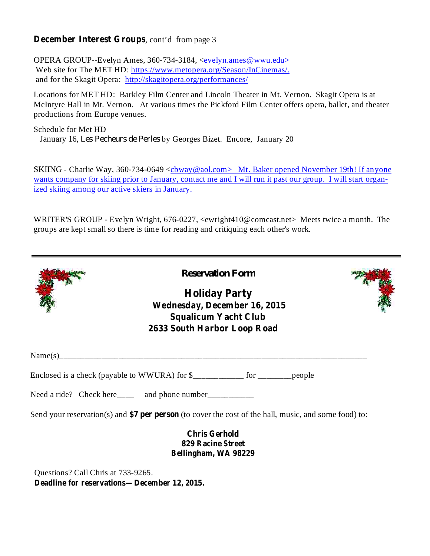### **December Interest Groups** , cont'd from page 3

OPERA GROUP--Evelyn Ames, 360-734-3184, <evelyn.ames@wwu.edu> Web site for The MET HD: https://www.metopera.org/Season/InCinemas/. and for the Skagit Opera: http://skagitopera.org/performances/

Locations for MET HD: Barkley Film Center and Lincoln Theater in Mt. Vernon. Skagit Opera is at McIntyre Hall in Mt. Vernon. At various times the Pickford Film Center offers opera, ballet, and theater productions from Europe venues.

Schedule for Met HD January 16, Les Pecheurs de Perles by Georges Bizet. Encore, January 20

SKIING - Charlie Way, 360-734-0649 <cbway@aol.com> Mt. Baker opened November 19th! If anyone wants company for skiing prior to January, contact me and I will run it past our group. I will start organized skiing among our active skiers in January.

WRITER'S GROUP - Evelyn Wright, 676-0227, <ewright410@comcast.net> Meets twice a month. The groups are kept small so there is time for reading and critiquing each other's work.